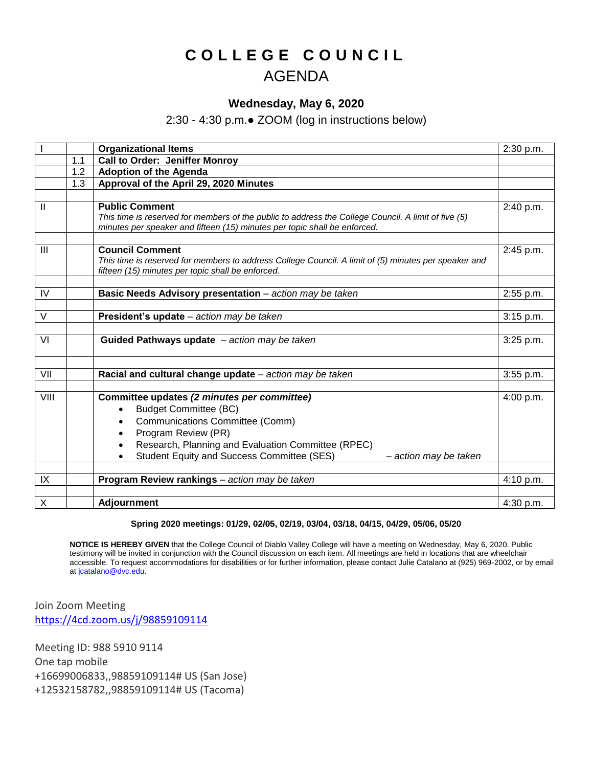## **C O L L E G E C O U N C I L** AGENDA

## **Wednesday, May 6, 2020**

2:30 - 4:30 p.m.● ZOOM (log in instructions below)

|               |     | <b>Organizational Items</b>                                                                                                                                                                                                                                                     | 2:30 p.m. |
|---------------|-----|---------------------------------------------------------------------------------------------------------------------------------------------------------------------------------------------------------------------------------------------------------------------------------|-----------|
|               | 1.1 | <b>Call to Order: Jeniffer Monroy</b>                                                                                                                                                                                                                                           |           |
|               | 1.2 | <b>Adoption of the Agenda</b>                                                                                                                                                                                                                                                   |           |
|               | 1.3 | Approval of the April 29, 2020 Minutes                                                                                                                                                                                                                                          |           |
|               |     |                                                                                                                                                                                                                                                                                 |           |
| $\mathbf{II}$ |     | <b>Public Comment</b><br>This time is reserved for members of the public to address the College Council. A limit of five (5)<br>minutes per speaker and fifteen (15) minutes per topic shall be enforced.                                                                       | 2:40 p.m. |
| III           |     | <b>Council Comment</b><br>This time is reserved for members to address College Council. A limit of (5) minutes per speaker and<br>fifteen (15) minutes per topic shall be enforced.                                                                                             | 2:45 p.m. |
| IV            |     | Basic Needs Advisory presentation - action may be taken                                                                                                                                                                                                                         | 2:55 p.m. |
| $\vee$        |     | President's update - action may be taken                                                                                                                                                                                                                                        | 3:15 p.m. |
| VI            |     | Guided Pathways update $-$ action may be taken                                                                                                                                                                                                                                  | 3:25 p.m. |
| VII           |     | Racial and cultural change update - action may be taken                                                                                                                                                                                                                         | 3:55 p.m. |
| VIII          |     | Committee updates (2 minutes per committee)<br><b>Budget Committee (BC)</b><br>$\bullet$<br>Communications Committee (Comm)<br>Program Review (PR)<br>Research, Planning and Evaluation Committee (RPEC)<br>Student Equity and Success Committee (SES)<br>- action may be taken | 4:00 p.m. |
| IX            |     | Program Review rankings - action may be taken                                                                                                                                                                                                                                   | 4:10 p.m. |
| X             |     | <b>Adjournment</b>                                                                                                                                                                                                                                                              | 4:30 p.m. |

## **Spring 2020 meetings: 01/29, 02/05, 02/19, 03/04, 03/18, 04/15, 04/29, 05/06, 05/20**

**NOTICE IS HEREBY GIVEN** that the College Council of Diablo Valley College will have a meeting on Wednesday, May 6, 2020. Public testimony will be invited in conjunction with the Council discussion on each item. All meetings are held in locations that are wheelchair accessible. To request accommodations for disabilities or for further information, please contact Julie Catalano at (925) 969-2002, or by email at [jcatalano@dvc.edu.](mailto:jcatalano@dvc.edu)

Join Zoom Meeting <https://4cd.zoom.us/j/98859109114>

Meeting ID: 988 5910 9114 One tap mobile +16699006833,,98859109114# US (San Jose) +12532158782,,98859109114# US (Tacoma)